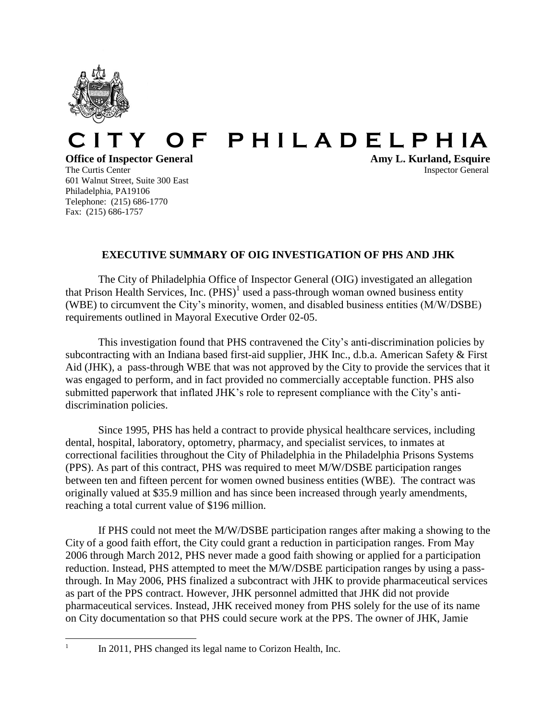

## **C I T Y O F P H I L A D E L P H IA**

## **Office of Inspector General Amy L. Kurland, Esquire**

601 Walnut Street, Suite 300 East Philadelphia, PA19106 Telephone: (215) 686-1770 Fax: (215) 686-1757

The Curtis Center **Inspector** General **Inspector** General

## **EXECUTIVE SUMMARY OF OIG INVESTIGATION OF PHS AND JHK**

The City of Philadelphia Office of Inspector General (OIG) investigated an allegation that Prison Health Services, Inc.  $(PHS)^1$  used a pass-through woman owned business entity (WBE) to circumvent the City's minority, women, and disabled business entities (M/W/DSBE) requirements outlined in Mayoral Executive Order 02-05.

This investigation found that PHS contravened the City's anti-discrimination policies by subcontracting with an Indiana based first-aid supplier, JHK Inc., d.b.a. American Safety & First Aid (JHK), a pass-through WBE that was not approved by the City to provide the services that it was engaged to perform, and in fact provided no commercially acceptable function. PHS also submitted paperwork that inflated JHK's role to represent compliance with the City's antidiscrimination policies.

Since 1995, PHS has held a contract to provide physical healthcare services, including dental, hospital, laboratory, optometry, pharmacy, and specialist services, to inmates at correctional facilities throughout the City of Philadelphia in the Philadelphia Prisons Systems (PPS). As part of this contract, PHS was required to meet M/W/DSBE participation ranges between ten and fifteen percent for women owned business entities (WBE). The contract was originally valued at \$35.9 million and has since been increased through yearly amendments, reaching a total current value of \$196 million.

If PHS could not meet the M/W/DSBE participation ranges after making a showing to the City of a good faith effort, the City could grant a reduction in participation ranges. From May 2006 through March 2012, PHS never made a good faith showing or applied for a participation reduction. Instead, PHS attempted to meet the M/W/DSBE participation ranges by using a passthrough. In May 2006, PHS finalized a subcontract with JHK to provide pharmaceutical services as part of the PPS contract. However, JHK personnel admitted that JHK did not provide pharmaceutical services. Instead, JHK received money from PHS solely for the use of its name on City documentation so that PHS could secure work at the PPS. The owner of JHK, Jamie

<sup>|&</sup>lt;br>|<br>|

In 2011, PHS changed its legal name to Corizon Health, Inc.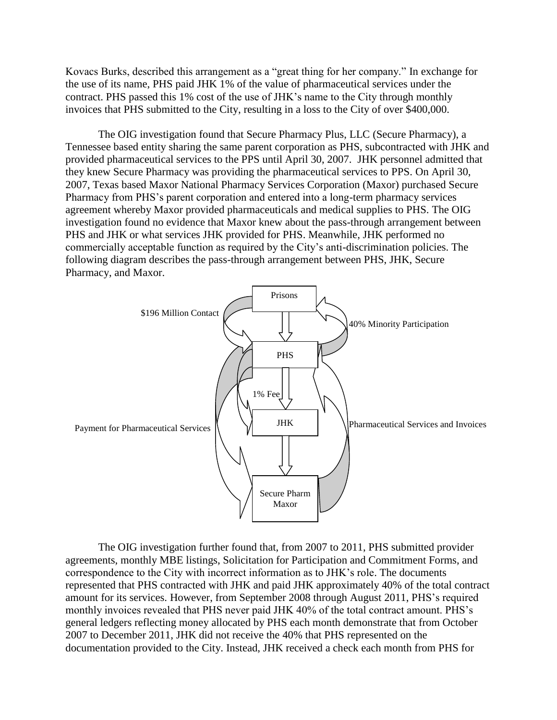Kovacs Burks, described this arrangement as a "great thing for her company." In exchange for the use of its name, PHS paid JHK 1% of the value of pharmaceutical services under the contract. PHS passed this 1% cost of the use of JHK's name to the City through monthly invoices that PHS submitted to the City, resulting in a loss to the City of over \$400,000.

The OIG investigation found that Secure Pharmacy Plus, LLC (Secure Pharmacy), a Tennessee based entity sharing the same parent corporation as PHS, subcontracted with JHK and provided pharmaceutical services to the PPS until April 30, 2007. JHK personnel admitted that they knew Secure Pharmacy was providing the pharmaceutical services to PPS. On April 30, 2007, Texas based Maxor National Pharmacy Services Corporation (Maxor) purchased Secure Pharmacy from PHS's parent corporation and entered into a long-term pharmacy services agreement whereby Maxor provided pharmaceuticals and medical supplies to PHS. The OIG investigation found no evidence that Maxor knew about the pass-through arrangement between PHS and JHK or what services JHK provided for PHS. Meanwhile, JHK performed no commercially acceptable function as required by the City's anti-discrimination policies. The following diagram describes the pass-through arrangement between PHS, JHK, Secure Pharmacy, and Maxor.



The OIG investigation further found that, from 2007 to 2011, PHS submitted provider agreements, monthly MBE listings, Solicitation for Participation and Commitment Forms, and correspondence to the City with incorrect information as to JHK's role. The documents represented that PHS contracted with JHK and paid JHK approximately 40% of the total contract amount for its services. However, from September 2008 through August 2011, PHS's required monthly invoices revealed that PHS never paid JHK 40% of the total contract amount. PHS's general ledgers reflecting money allocated by PHS each month demonstrate that from October 2007 to December 2011, JHK did not receive the 40% that PHS represented on the documentation provided to the City. Instead, JHK received a check each month from PHS for